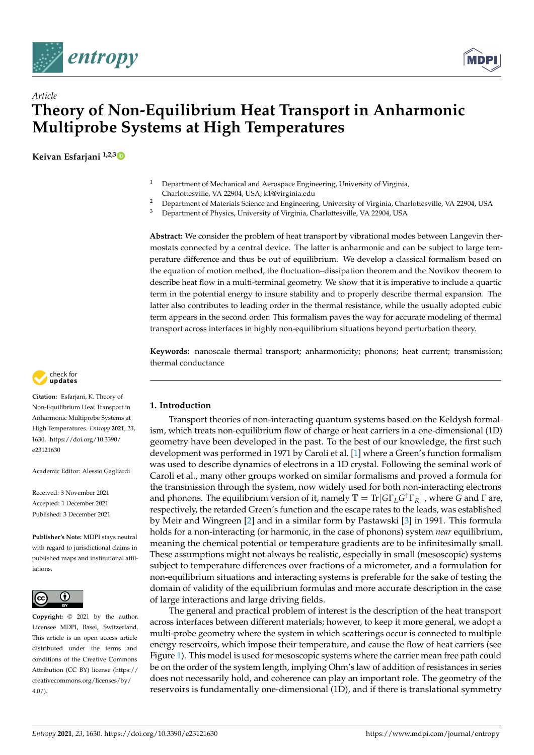



# **Theory of Non-Equilibrium Heat Transport in Anharmonic Multiprobe Systems at High Temperatures**

**Keivan Esfarjani 1,2,[3](https://orcid.org/0000-0003-1969-0956)**

*Article*

- <sup>1</sup> Department of Mechanical and Aerospace Engineering, University of Virginia, Charlottesville, VA 22904, USA; k1@virginia.edu
- <sup>2</sup> Department of Materials Science and Engineering, University of Virginia, Charlottesville, VA 22904, USA<br><sup>3</sup> Department of Physics University of Virginia, Charlottesville, VA 22904, USA
- <sup>3</sup> Department of Physics, University of Virginia, Charlottesville, VA 22904, USA

**Abstract:** We consider the problem of heat transport by vibrational modes between Langevin thermostats connected by a central device. The latter is anharmonic and can be subject to large temperature difference and thus be out of equilibrium. We develop a classical formalism based on the equation of motion method, the fluctuation–dissipation theorem and the Novikov theorem to describe heat flow in a multi-terminal geometry. We show that it is imperative to include a quartic term in the potential energy to insure stability and to properly describe thermal expansion. The latter also contributes to leading order in the thermal resistance, while the usually adopted cubic term appears in the second order. This formalism paves the way for accurate modeling of thermal transport across interfaces in highly non-equilibrium situations beyond perturbation theory.

**Keywords:** nanoscale thermal transport; anharmonicity; phonons; heat current; transmission; thermal conductance



**Citation:** Esfarjani, K. Theory of Non-Equilibrium Heat Transport in Anharmonic Multiprobe Systems at High Temperatures. *Entropy* **2021**, *23*, 1630. [https://doi.org/10.3390/](https://doi.org/10.3390/e23121630) [e23121630](https://doi.org/10.3390/e23121630)

Academic Editor: Alessio Gagliardi

Received: 3 November 2021 Accepted: 1 December 2021 Published: 3 December 2021

**Publisher's Note:** MDPI stays neutral with regard to jurisdictional claims in published maps and institutional affiliations.



**Copyright:** © 2021 by the author. Licensee MDPI, Basel, Switzerland. This article is an open access article distributed under the terms and conditions of the Creative Commons Attribution (CC BY) license (https:/[/](https://creativecommons.org/licenses/by/4.0/) [creativecommons.org/licenses/by/](https://creativecommons.org/licenses/by/4.0/)  $4.0/$ ).

# **1. Introduction**

Transport theories of non-interacting quantum systems based on the Keldysh formalism, which treats non-equilibrium flow of charge or heat carriers in a one-dimensional (1D) geometry have been developed in the past. To the best of our knowledge, the first such development was performed in 1971 by Caroli et al. [\[1\]](#page-18-0) where a Green's function formalism was used to describe dynamics of electrons in a 1D crystal. Following the seminal work of Caroli et al., many other groups worked on similar formalisms and proved a formula for the transmission through the system, now widely used for both non-interacting electrons and phonons. The equilibrium version of it, namely T = Tr[*G*Γ*LG* †Γ*R*] , where *G* and Γ are, respectively, the retarded Green's function and the escape rates to the leads, was established by Meir and Wingreen [\[2\]](#page-18-1) and in a similar form by Pastawski [\[3\]](#page-18-2) in 1991. This formula holds for a non-interacting (or harmonic, in the case of phonons) system *near* equilibrium, meaning the chemical potential or temperature gradients are to be infinitesimally small. These assumptions might not always be realistic, especially in small (mesoscopic) systems subject to temperature differences over fractions of a micrometer, and a formulation for non-equilibrium situations and interacting systems is preferable for the sake of testing the domain of validity of the equilibrium formulas and more accurate description in the case of large interactions and large driving fields.

The general and practical problem of interest is the description of the heat transport across interfaces between different materials; however, to keep it more general, we adopt a multi-probe geometry where the system in which scatterings occur is connected to multiple energy reservoirs, which impose their temperature, and cause the flow of heat carriers (see Figure [1\)](#page-1-0). This model is used for mesoscopic systems where the carrier mean free path could be on the order of the system length, implying Ohm's law of addition of resistances in series does not necessarily hold, and coherence can play an important role. The geometry of the reservoirs is fundamentally one-dimensional (1D), and if there is translational symmetry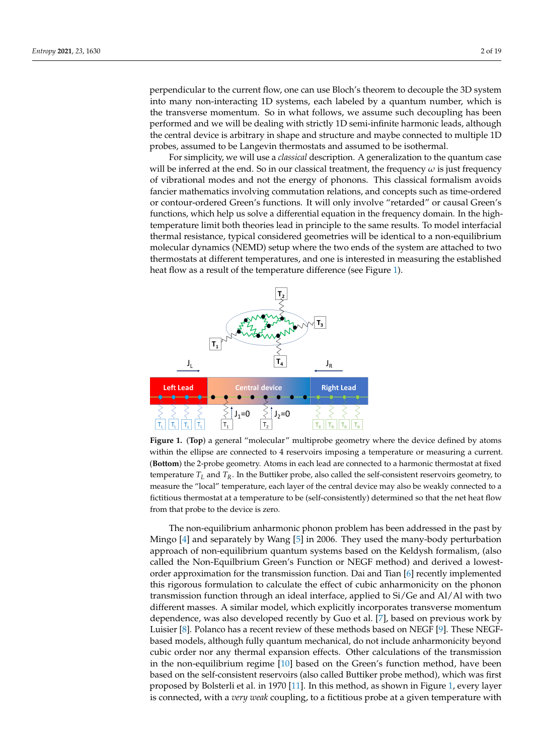perpendicular to the current flow, one can use Bloch's theorem to decouple the 3D system into many non-interacting 1D systems, each labeled by a quantum number, which is the transverse momentum. So in what follows, we assume such decoupling has been performed and we will be dealing with strictly 1D semi-infinite harmonic leads, although the central device is arbitrary in shape and structure and maybe connected to multiple 1D probes, assumed to be Langevin thermostats and assumed to be isothermal.

For simplicity, we will use a *classical* description. A generalization to the quantum case will be inferred at the end. So in our classical treatment, the frequency  $\omega$  is just frequency of vibrational modes and not the energy of phonons. This classical formalism avoids fancier mathematics involving commutation relations, and concepts such as time-ordered or contour-ordered Green's functions. It will only involve "retarded" or causal Green's functions, which help us solve a differential equation in the frequency domain. In the hightemperature limit both theories lead in principle to the same results. To model interfacial thermal resistance, typical considered geometries will be identical to a non-equilibrium molecular dynamics (NEMD) setup where the two ends of the system are attached to two thermostats at different temperatures, and one is interested in measuring the established heat flow as a result of the temperature difference (see Figure [1\)](#page-1-0).

<span id="page-1-0"></span>

**Figure 1.** (**Top**) a general "molecular" multiprobe geometry where the device defined by atoms within the ellipse are connected to 4 reservoirs imposing a temperature or measuring a current. (**Bottom**) the 2-probe geometry. Atoms in each lead are connected to a harmonic thermostat at fixed temperature *T<sup>L</sup>* and *TR*. In the Buttiker probe, also called the self-consistent reservoirs geometry, to measure the "local" temperature, each layer of the central device may also be weakly connected to a fictitious thermostat at a temperature to be (self-consistently) determined so that the net heat flow from that probe to the device is zero.

The non-equilibrium anharmonic phonon problem has been addressed in the past by Mingo [\[4\]](#page-18-3) and separately by Wang [\[5\]](#page-18-4) in 2006. They used the many-body perturbation approach of non-equilibrium quantum systems based on the Keldysh formalism, (also called the Non-Equilbrium Green's Function or NEGF method) and derived a lowestorder approximation for the transmission function. Dai and Tian [\[6\]](#page-18-5) recently implemented this rigorous formulation to calculate the effect of cubic anharmonicity on the phonon transmission function through an ideal interface, applied to Si/Ge and Al/Al with two different masses. A similar model, which explicitly incorporates transverse momentum dependence, was also developed recently by Guo et al. [\[7\]](#page-18-6), based on previous work by Luisier [\[8\]](#page-18-7). Polanco has a recent review of these methods based on NEGF [\[9\]](#page-18-8). These NEGFbased models, although fully quantum mechanical, do not include anharmonicity beyond cubic order nor any thermal expansion effects. Other calculations of the transmission in the non-equilibrium regime [\[10\]](#page-18-9) based on the Green's function method, have been based on the self-consistent reservoirs (also called Buttiker probe method), which was first proposed by Bolsterli et al. in 1970 [\[11\]](#page-18-10). In this method, as shown in Figure [1,](#page-1-0) every layer is connected, with a *very weak* coupling, to a fictitious probe at a given temperature with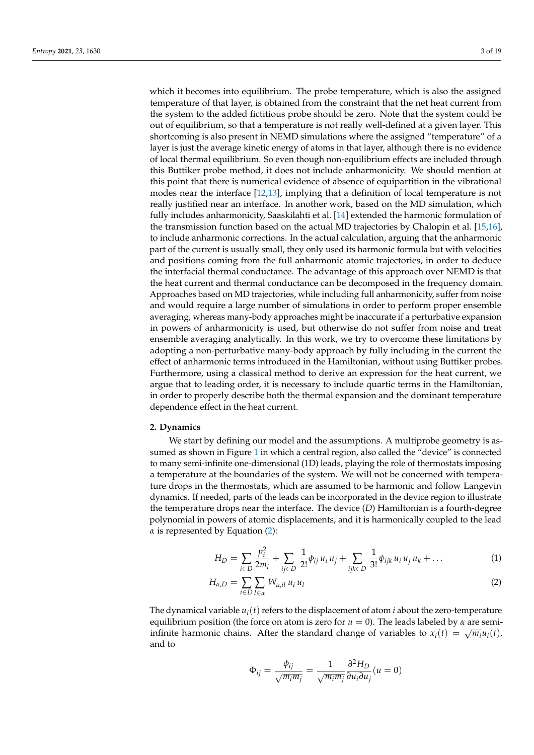which it becomes into equilibrium. The probe temperature, which is also the assigned temperature of that layer, is obtained from the constraint that the net heat current from the system to the added fictitious probe should be zero. Note that the system could be out of equilibrium, so that a temperature is not really well-defined at a given layer. This shortcoming is also present in NEMD simulations where the assigned "temperature" of a layer is just the average kinetic energy of atoms in that layer, although there is no evidence of local thermal equilibrium. So even though non-equilibrium effects are included through this Buttiker probe method, it does not include anharmonicity. We should mention at this point that there is numerical evidence of absence of equipartition in the vibrational modes near the interface [\[12](#page-18-11)[,13\]](#page-18-12), implying that a definition of local temperature is not really justified near an interface. In another work, based on the MD simulation, which fully includes anharmonicity, Saaskilahti et al. [\[14\]](#page-18-13) extended the harmonic formulation of the transmission function based on the actual MD trajectories by Chalopin et al. [\[15,](#page-18-14)[16\]](#page-18-15), to include anharmonic corrections. In the actual calculation, arguing that the anharmonic part of the current is usually small, they only used its harmonic formula but with velocities and positions coming from the full anharmonic atomic trajectories, in order to deduce the interfacial thermal conductance. The advantage of this approach over NEMD is that the heat current and thermal conductance can be decomposed in the frequency domain. Approaches based on MD trajectories, while including full anharmonicity, suffer from noise and would require a large number of simulations in order to perform proper ensemble averaging, whereas many-body approaches might be inaccurate if a perturbative expansion in powers of anharmonicity is used, but otherwise do not suffer from noise and treat ensemble averaging analytically. In this work, we try to overcome these limitations by adopting a non-perturbative many-body approach by fully including in the current the effect of anharmonic terms introduced in the Hamiltonian, without using Buttiker probes. Furthermore, using a classical method to derive an expression for the heat current, we argue that to leading order, it is necessary to include quartic terms in the Hamiltonian, in order to properly describe both the thermal expansion and the dominant temperature dependence effect in the heat current.

#### **2. Dynamics**

We start by defining our model and the assumptions. A multiprobe geometry is assumed as shown in Figure [1](#page-1-0) in which a central region, also called the "device" is connected to many semi-infinite one-dimensional (1D) leads, playing the role of thermostats imposing a temperature at the boundaries of the system. We will not be concerned with temperature drops in the thermostats, which are assumed to be harmonic and follow Langevin dynamics. If needed, parts of the leads can be incorporated in the device region to illustrate the temperature drops near the interface. The device (*D*) Hamiltonian is a fourth-degree polynomial in powers of atomic displacements, and it is harmonically coupled to the lead *α* is represented by Equation [\(2\)](#page-2-0):

$$
H_D = \sum_{i \in D} \frac{p_i^2}{2m_i} + \sum_{ij \in D} \frac{1}{2!} \phi_{ij} u_i u_j + \sum_{ijk \in D} \frac{1}{3!} \psi_{ijk} u_i u_j u_k + \dots
$$
 (1)

$$
H_{\alpha,D} = \sum_{i \in D} \sum_{l \in \alpha} W_{\alpha,il} u_i u_l \tag{2}
$$

The dynamical variable  $u_i(t)$  refers to the displacement of atom *i* about the zero-temperature equilibrium position (the force on atom is zero for  $u = 0$ ). The leads labeled by  $\alpha$  are semiinfinite harmonic chains. After the standard change of variables to  $x_i(t) = \sqrt{m_i}u_i(t)$ , and to

<span id="page-2-0"></span>
$$
\Phi_{ij} = \frac{\phi_{ij}}{\sqrt{m_i m_j}} = \frac{1}{\sqrt{m_i m_j}} \frac{\partial^2 H_D}{\partial u_i \partial u_j} (u = 0)
$$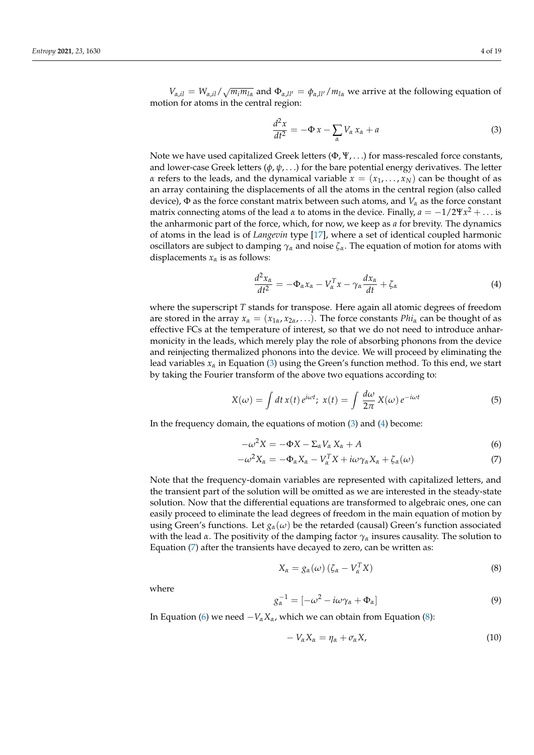$V_{\alpha,il} = W_{\alpha,il}/\sqrt{m_i m_{l\alpha}}$  and  $\Phi_{\alpha, ll'} = \phi_{\alpha, ll'}/m_{l\alpha}$  we arrive at the following equation of motion for atoms in the central region:

<span id="page-3-0"></span>
$$
\frac{d^2x}{dt^2} = -\Phi x - \sum_{\alpha} V_{\alpha} x_{\alpha} + a \tag{3}
$$

Note we have used capitalized Greek letters  $(\Phi, \Psi, \ldots)$  for mass-rescaled force constants, and lower-case Greek letters (*φ*, *ψ*, . . .) for the bare potential energy derivatives. The letter *α* refers to the leads, and the dynamical variable  $x = (x_1, \ldots, x_N)$  can be thought of as an array containing the displacements of all the atoms in the central region (also called device),  $\Phi$  as the force constant matrix between such atoms, and  $V_\alpha$  as the force constant matrix connecting atoms of the lead  $\alpha$  to atoms in the device. Finally,  $a = -1/2\Psi x^2 + \dots$  is the anharmonic part of the force, which, for now, we keep as *a* for brevity. The dynamics of atoms in the lead is of *Langevin* type [\[17\]](#page-18-16), where a set of identical coupled harmonic oscillators are subject to damping  $\gamma_\alpha$  and noise  $\zeta_\alpha$ . The equation of motion for atoms with displacements  $x_\alpha$  is as follows:

<span id="page-3-1"></span>
$$
\frac{d^2x_{\alpha}}{dt^2} = -\Phi_{\alpha}x_{\alpha} - V_{\alpha}^T x - \gamma_{\alpha}\frac{dx_{\alpha}}{dt} + \zeta_{\alpha}
$$
\n(4)

where the superscript *T* stands for transpose. Here again all atomic degrees of freedom are stored in the array  $x_\alpha = (x_{1\alpha}, x_{2\alpha}, \ldots)$ . The force constants  $Phi$  can be thought of as effective FCs at the temperature of interest, so that we do not need to introduce anharmonicity in the leads, which merely play the role of absorbing phonons from the device and reinjecting thermalized phonons into the device. We will proceed by eliminating the lead variables *x<sup>α</sup>* in Equation [\(3\)](#page-3-0) using the Green's function method. To this end, we start by taking the Fourier transform of the above two equations according to:

$$
X(\omega) = \int dt \, x(t) \, e^{i\omega t}; \; x(t) = \int \frac{d\omega}{2\pi} \, X(\omega) \, e^{-i\omega t} \tag{5}
$$

In the frequency domain, the equations of motion [\(3\)](#page-3-0) and [\(4\)](#page-3-1) become:

$$
-\omega^2 X = -\Phi X - \Sigma_\alpha V_\alpha X_\alpha + A \tag{6}
$$

$$
-\omega^2 X_{\alpha} = -\Phi_{\alpha} X_{\alpha} - V_{\alpha}^T X + i\omega \gamma_{\alpha} X_{\alpha} + \zeta_{\alpha}(\omega) \tag{7}
$$

Note that the frequency-domain variables are represented with capitalized letters, and the transient part of the solution will be omitted as we are interested in the steady-state solution. Now that the differential equations are transformed to algebraic ones, one can easily proceed to eliminate the lead degrees of freedom in the main equation of motion by using Green's functions. Let  $g_\alpha(\omega)$  be the retarded (causal) Green's function associated with the lead *α*. The positivity of the damping factor *γ<sup>α</sup>* insures causality. The solution to Equation [\(7\)](#page-3-2) after the transients have decayed to zero, can be written as:

<span id="page-3-4"></span><span id="page-3-3"></span><span id="page-3-2"></span>
$$
X_{\alpha} = g_{\alpha}(\omega) \left( \zeta_{\alpha} - V_{\alpha}^{T} X \right) \tag{8}
$$

where

<span id="page-3-6"></span>
$$
g_{\alpha}^{-1} = [-\omega^2 - i\omega\gamma_{\alpha} + \Phi_{\alpha}]
$$
\n(9)

In Equation [\(6\)](#page-3-3) we need  $-V_{\alpha}X_{\alpha}$ , which we can obtain from Equation [\(8\)](#page-3-4):

<span id="page-3-5"></span>
$$
-V_{\alpha}X_{\alpha}=\eta_{\alpha}+\sigma_{\alpha}X,\qquad\qquad(10)
$$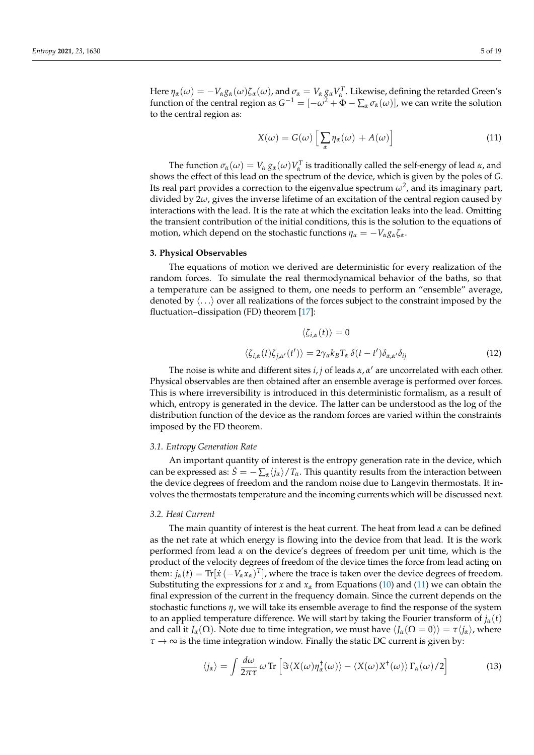Here  $\eta_\alpha(\omega)=-V_\alpha g_\alpha(\omega)\zeta_\alpha(\omega)$ , and  $\sigma_\alpha=V_\alpha g_\alpha V_\alpha^T$ . Likewise, defining the retarded Green's function of the central region as  $G^{-1} = [-\omega^2 + \Phi - \sum_{\alpha} \sigma_{\alpha}(\omega)]$ , we can write the solution to the central region as:

<span id="page-4-0"></span>
$$
X(\omega) = G(\omega) \left[ \sum_{\alpha} \eta_{\alpha}(\omega) + A(\omega) \right]
$$
 (11)

The function  $\sigma_\alpha(\omega) = V_\alpha g_\alpha(\omega) V_\alpha^T$  is traditionally called the self-energy of lead  $\alpha$ , and shows the effect of this lead on the spectrum of the device, which is given by the poles of *G*. Its real part provides a correction to the eigenvalue spectrum  $\omega^2$ , and its imaginary part, divided by 2*ω*, gives the inverse lifetime of an excitation of the central region caused by interactions with the lead. It is the rate at which the excitation leaks into the lead. Omitting the transient contribution of the initial conditions, this is the solution to the equations of motion, which depend on the stochastic functions  $\eta_{\alpha} = -V_{\alpha} g_{\alpha} \zeta_{\alpha}$ .

## **3. Physical Observables**

The equations of motion we derived are deterministic for every realization of the random forces. To simulate the real thermodynamical behavior of the baths, so that a temperature can be assigned to them, one needs to perform an "ensemble" average, denoted by  $\langle \ldots \rangle$  over all realizations of the forces subject to the constraint imposed by the fluctuation–dissipation (FD) theorem [\[17\]](#page-18-16):

<span id="page-4-2"></span>
$$
\langle \zeta_{i,\alpha}(t) \rangle = 0
$$
  

$$
\langle \zeta_{i,\alpha}(t) \zeta_{j,\alpha'}(t') \rangle = 2 \gamma_{\alpha} k_{B} T_{\alpha} \delta(t - t') \delta_{\alpha,\alpha'} \delta_{ij}
$$
 (12)

The noise is white and different sites  $i, j$  of leads  $\alpha, \alpha'$  are uncorrelated with each other. Physical observables are then obtained after an ensemble average is performed over forces. This is where irreversibility is introduced in this deterministic formalism, as a result of which, entropy is generated in the device. The latter can be understood as the log of the distribution function of the device as the random forces are varied within the constraints imposed by the FD theorem.

#### *3.1. Entropy Generation Rate*

An important quantity of interest is the entropy generation rate in the device, which can be expressed as:  $\dot{S} = -\sum_{\alpha} \langle j_{\alpha} \rangle / T_{\alpha}$ . This quantity results from the interaction between the device degrees of freedom and the random noise due to Langevin thermostats. It involves the thermostats temperature and the incoming currents which will be discussed next.

## *3.2. Heat Current*

The main quantity of interest is the heat current. The heat from lead *α* can be defined as the net rate at which energy is flowing into the device from that lead. It is the work performed from lead *α* on the device's degrees of freedom per unit time, which is the product of the velocity degrees of freedom of the device times the force from lead acting on them:  $j_{\alpha}(t) = \text{Tr}[\dot{x}(-V_{\alpha}x_{\alpha})^T]$ , where the trace is taken over the device degrees of freedom. Substituting the expressions for *x* and  $x_\alpha$  from Equations [\(10\)](#page-3-5) and [\(11\)](#page-4-0) we can obtain the final expression of the current in the frequency domain. Since the current depends on the stochastic functions *η*, we will take its ensemble average to find the response of the system to an applied temperature difference. We will start by taking the Fourier transform of  $j_\alpha(t)$ and call it  $J_\alpha(\Omega)$ . Note due to time integration, we must have  $\langle J_\alpha(\Omega = 0) \rangle = \tau \langle j_\alpha \rangle$ , where  $\tau \rightarrow \infty$  is the time integration window. Finally the static DC current is given by:

<span id="page-4-1"></span>
$$
\langle j_{\alpha} \rangle = \int \frac{d\omega}{2\pi\tau} \, \omega \, \text{Tr} \left[ \Im \langle X(\omega) \eta_{\alpha}^{\dagger}(\omega) \rangle - \langle X(\omega) X^{\dagger}(\omega) \rangle \, \Gamma_{\alpha}(\omega) / 2 \right] \tag{13}
$$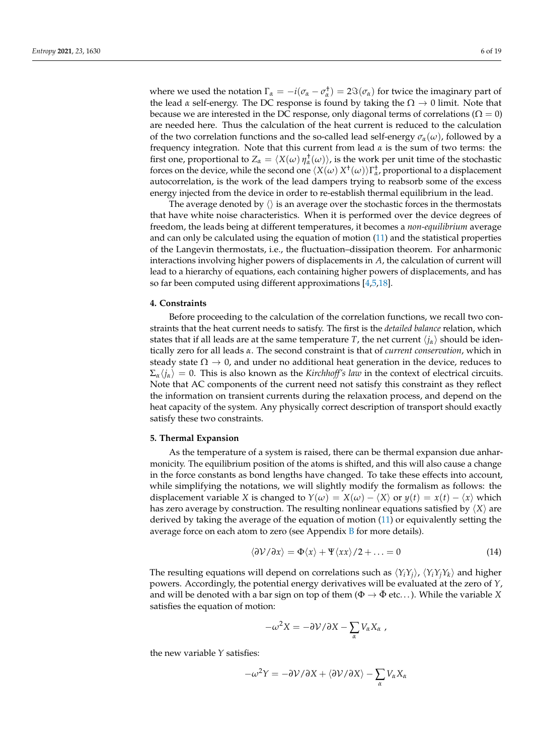where we used the notation  $\Gamma_{\alpha} = -i(\sigma_{\alpha} - \sigma_{\alpha}^{\dagger}) = 2\Im(\sigma_{\alpha})$  for twice the imaginary part of the lead *α* self-energy. The DC response is found by taking the  $\Omega \to 0$  limit. Note that because we are interested in the DC response, only diagonal terms of correlations ( $\Omega = 0$ ) are needed here. Thus the calculation of the heat current is reduced to the calculation of the two correlation functions and the so-called lead self-energy  $\sigma_{\alpha}(\omega)$ , followed by a frequency integration. Note that this current from lead  $\alpha$  is the sum of two terms: the first one, proportional to  $Z_\alpha = \langle X(\omega) \eta_\alpha^{\dagger}(\omega) \rangle$ , is the work per unit time of the stochastic forces on the device, while the second one  $\langle X(\omega) X^{\dagger}(\omega) \rangle \Gamma^{\dagger}_{\alpha}$ , proportional to a displacement autocorrelation, is the work of the lead dampers trying to reabsorb some of the excess energy injected from the device in order to re-establish thermal equilibrium in the lead.

The average denoted by  $\langle \rangle$  is an average over the stochastic forces in the thermostats that have white noise characteristics. When it is performed over the device degrees of freedom, the leads being at different temperatures, it becomes a *non-equilibrium* average and can only be calculated using the equation of motion [\(11\)](#page-4-0) and the statistical properties of the Langevin thermostats, i.e., the fluctuation–dissipation theorem. For anharmonic interactions involving higher powers of displacements in *A*, the calculation of current will lead to a hierarchy of equations, each containing higher powers of displacements, and has so far been computed using different approximations  $[4,5,18]$  $[4,5,18]$  $[4,5,18]$ .

#### **4. Constraints**

Before proceeding to the calculation of the correlation functions, we recall two constraints that the heat current needs to satisfy. The first is the *detailed balance* relation, which states that if all leads are at the same temperature *T*, the net current  $\langle i_{\alpha} \rangle$  should be identically zero for all leads *α*. The second constraint is that of *current conservation*, which in steady state  $\Omega \to 0$ , and under no additional heat generation in the device, reduces to  $\Sigma_{\alpha}$ / $j_{\alpha}$ ) = 0. This is also known as the *Kirchhoff's law* in the context of electrical circuits. Note that AC components of the current need not satisfy this constraint as they reflect the information on transient currents during the relaxation process, and depend on the heat capacity of the system. Any physically correct description of transport should exactly satisfy these two constraints.

#### **5. Thermal Expansion**

As the temperature of a system is raised, there can be thermal expansion due anharmonicity. The equilibrium position of the atoms is shifted, and this will also cause a change in the force constants as bond lengths have changed. To take these effects into account, while simplifying the notations, we will slightly modify the formalism as follows: the displacement variable *X* is changed to  $Y(\omega) = X(\omega) - \langle X \rangle$  or  $y(t) = x(t) - \langle x \rangle$  which has zero average by construction. The resulting nonlinear equations satisfied by  $\langle X \rangle$  are derived by taking the average of the equation of motion [\(11\)](#page-4-0) or equivalently setting the average force on each atom to zero (see Appendix  $\overline{B}$  $\overline{B}$  $\overline{B}$  for more details).

<span id="page-5-0"></span>
$$
\langle \partial \mathcal{V} / \partial x \rangle = \Phi \langle x \rangle + \Psi \langle x x \rangle / 2 + \ldots = 0 \tag{14}
$$

The resulting equations will depend on correlations such as  $\langle Y_i Y_j \rangle$ ,  $\langle Y_i Y_j Y_k \rangle$  and higher powers. Accordingly, the potential energy derivatives will be evaluated at the zero of *Y*, and will be denoted with a bar sign on top of them ( $\Phi \rightarrow \bar{\Phi}$  etc...). While the variable *X* satisfies the equation of motion:

$$
-\omega^2 X = -\partial \mathcal{V}/\partial X - \sum_{\alpha} V_{\alpha} X_{\alpha} ,
$$

the new variable *Y* satisfies:

$$
-\omega^2 Y = -\partial \mathcal{V}/\partial X + \langle \partial \mathcal{V}/\partial X \rangle - \sum_{\alpha} V_{\alpha} X_{\alpha}
$$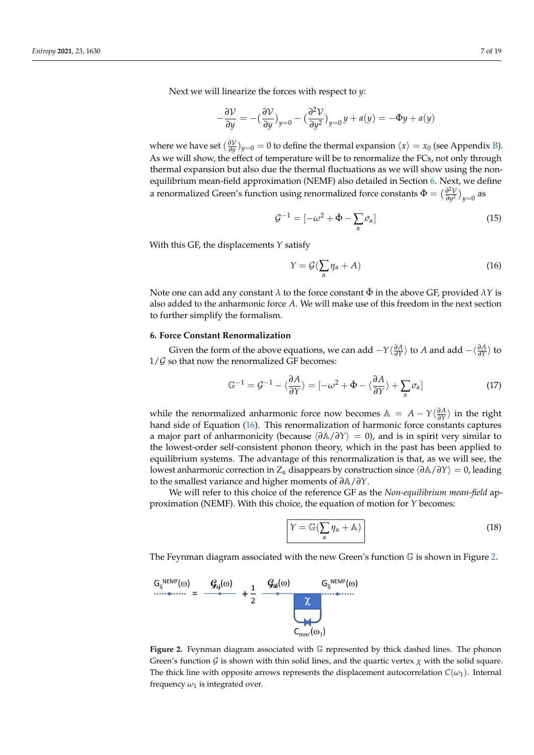Next we will linearize the forces with respect to *y*:

$$
-\frac{\partial \mathcal{V}}{\partial y} = -\left(\frac{\partial \mathcal{V}}{\partial y}\right)_{y=0} - \left(\frac{\partial^2 \mathcal{V}}{\partial y^2}\right)_{y=0} y + a(y) = -\bar{\Phi}y + a(y)
$$

where we have set  $(\frac{\partial V}{\partial y})_{y=0} = 0$  to define the thermal expansion  $\langle x \rangle = x_0$  (see Appendix [B\)](#page-11-0). As we will show, the effect of temperature will be to renormalize the FCs, not only through thermal expansion but also due the thermal fluctuations as we will show using the nonequilibrium mean-field approximation (NEMF) also detailed in Section [6.](#page-6-0) Next, we define a renormalized Green's function using renormalized force constants  $\bar{\Phi} = \left(\frac{\partial^2 V}{\partial u^2}\right)^2$ *<del>∂</del><sup><i>y*2</sup></sub> )<sub>*y*=0</sub> as

$$
\mathcal{G}^{-1} = \left[ -\omega^2 + \bar{\Phi} - \sum_{\alpha} \sigma_{\alpha} \right] \tag{15}
$$

With this GF, the displacements *Y* satisfy

<span id="page-6-1"></span>
$$
Y = \mathcal{G}(\sum_{\alpha} \eta_{\alpha} + A)
$$
 (16)

Note one can add any constant  $\lambda$  to the force constant  $\Phi$  in the above GF, provided  $\lambda Y$  is also added to the anharmonic force *A*. We will make use of this freedom in the next section to further simplify the formalism.

#### <span id="page-6-0"></span>**6. Force Constant Renormalization**

Given the form of the above equations, we can add  $-Y\langle \frac{\partial A}{\partial Y} \rangle$  to *A* and add  $-\langle \frac{\partial A}{\partial Y} \rangle$  to  $1/\mathcal{G}$  so that now the renormalized GF becomes:

$$
\mathbb{G}^{-1} = \mathcal{G}^{-1} - \langle \frac{\partial A}{\partial Y} \rangle = [-\omega^2 + \bar{\Phi} - \langle \frac{\partial A}{\partial Y} \rangle + \sum_{\alpha} \sigma_{\alpha}] \tag{17}
$$

while the renormalized anharmonic force now becomes  $A = A - Y\langle \frac{\partial A}{\partial Y} \rangle$  in the right hand side of Equation [\(16\)](#page-6-1). This renormalization of harmonic force constants captures a major part of anharmonicity (because h*∂*A/*∂Y*i = 0), and is in spirit very similar to the lowest-order self-consistent phonon theory, which in the past has been applied to equilibrium systems. The advantage of this renormalization is that, as we will see, the lowest anharmonic correction in *<sup>Z</sup><sup>α</sup>* disappears by construction since h*∂*A/*∂Y*i = 0, leading to the smallest variance and higher moments of *∂*A/*∂Y*.

We will refer to this choice of the reference GF as the *Non-equilibrium mean-field* approximation (NEMF). With this choice, the equation of motion for *Y* becomes:

<span id="page-6-3"></span>
$$
Y = \mathbb{G}\left(\sum_{\alpha} \eta_{\alpha} + \mathbb{A}\right)
$$
 (18)

The Feynman diagram associated with the new Green's function  $\mathbb G$  is shown in Figure [2.](#page-6-2)

<span id="page-6-2"></span>

**Figure 2.** Feynman diagram associated with G represented by thick dashed lines. The phonon Green's function G is shown with thin solid lines, and the quartic vertex  $\chi$  with the solid square. The thick line with opposite arrows represents the displacement autocorrelation  $C(\omega_1)$ . Internal frequency  $\omega_1$  is integrated over.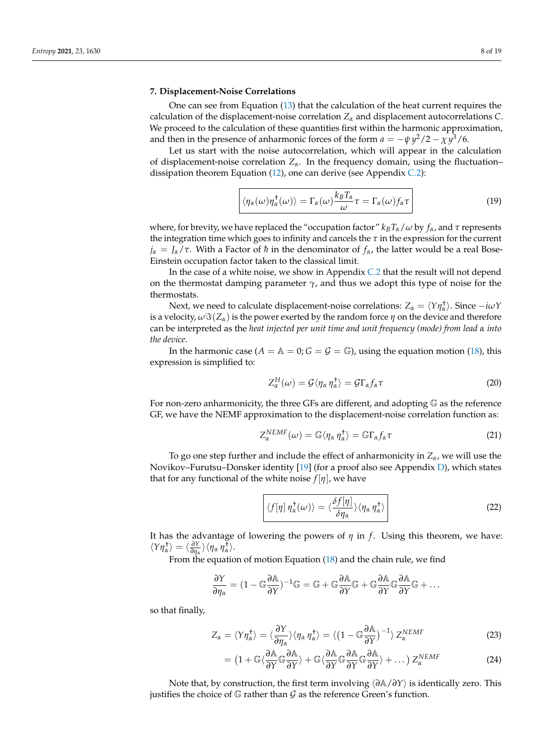## **7. Displacement-Noise Correlations**

One can see from Equation [\(13\)](#page-4-1) that the calculation of the heat current requires the calculation of the displacement-noise correlation *Z<sup>α</sup>* and displacement autocorrelations *C*. We proceed to the calculation of these quantities first within the harmonic approximation, and then in the presence of anharmonic forces of the form  $a = -\psi y^2/2 - \chi y^3/6$ .

Let us start with the noise autocorrelation, which will appear in the calculation of displacement-noise correlation  $Z_\alpha$ . In the frequency domain, using the fluctuation– dissipation theorem Equation  $(12)$ , one can derive (see Appendix [C.2\)](#page-14-0):

<span id="page-7-0"></span>
$$
\langle \eta_{\alpha}(\omega)\eta_{\alpha}^{\dagger}(\omega)\rangle = \Gamma_{\alpha}(\omega)\frac{k_{B}T_{\alpha}}{\omega}\tau = \Gamma_{\alpha}(\omega)f_{\alpha}\tau
$$
 (19)

where, for brevity, we have replaced the "occupation factor"  $k_B T_\alpha/\omega$  by  $f_\alpha$ , and  $\tau$  represents the integration time which goes to infinity and cancels the *τ* in the expression for the current  $j_{\alpha} = J_{\alpha}/\tau$ . With a Factor of *h* in the denominator of  $f_{\alpha}$ , the latter would be a real Bose-Einstein occupation factor taken to the classical limit.

In the case of a white noise, we show in Appendix  $C.2$  that the result will not depend on the thermostat damping parameter  $\gamma$ , and thus we adopt this type of noise for the thermostats.

Next, we need to calculate displacement-noise correlations:  $Z_\alpha = \langle Y \eta_\alpha^\dagger \rangle$ . Since  $-i\omega Y$ is a velocity,  $\omega \Im(Z_\alpha)$  is the power exerted by the random force  $\eta$  on the device and therefore can be interpreted as the *heat injected per unit time and unit frequency (mode) from lead α into the device*.

In the harmonic case ( $A = A = 0$ ;  $G = \mathcal{G} = \mathbb{G}$ ), using the equation motion [\(18\)](#page-6-3), this expression is simplified to:

$$
Z_{\alpha}^{H}(\omega) = \mathcal{G}\langle \eta_{\alpha} \eta_{\alpha}^{\dagger} \rangle = \mathcal{G}\Gamma_{\alpha} f_{\alpha} \tau \tag{20}
$$

For non-zero anharmonicity, the three GFs are different, and adopting G as the reference GF, we have the NEMF approximation to the displacement-noise correlation function as:

$$
Z_{\alpha}^{NEMF}(\omega) = \mathbb{G}\langle \eta_{\alpha} \eta_{\alpha}^{\dagger} \rangle = \mathbb{G}\Gamma_{\alpha} f_{\alpha} \tau \tag{21}
$$

To go one step further and include the effect of anharmonicity in  $Z_\alpha$ , we will use the Novikov–Furutsu–Donsker identity [\[19\]](#page-18-18) (for a proof also see Appendix [D\)](#page-16-0), which states that for any functional of the white noise  $f[\eta]$ , we have

<span id="page-7-2"></span>
$$
\langle f[\eta] \eta_{\alpha}^{\dagger}(\omega) \rangle = \langle \frac{\delta f[\eta]}{\delta \eta_{\alpha}} \rangle \langle \eta_{\alpha} \eta_{\alpha}^{\dagger} \rangle
$$
 (22)

It has the advantage of lowering the powers of *η* in *f* . Using this theorem, we have:  $\langle Y \eta_{\alpha}^{\dagger} \rangle = \langle \frac{\partial Y}{\partial \eta_{\alpha}}$  $\frac{\partial Y}{\partial \eta_\alpha}$   $\rangle$   $\langle \eta_\alpha \eta_\alpha^{\dagger} \rangle$ .

From the equation of motion Equation [\(18\)](#page-6-3) and the chain rule, we find

$$
\frac{\partial Y}{\partial \eta_\alpha} = (1-\mathbb{G}\frac{\partial \mathbb{A}}{\partial Y})^{-1}\mathbb{G} = \mathbb{G} + \mathbb{G}\frac{\partial \mathbb{A}}{\partial Y}\mathbb{G} + \mathbb{G}\frac{\partial \mathbb{A}}{\partial Y}\mathbb{G}\frac{\partial \mathbb{A}}{\partial Y}\mathbb{G} + \ldots
$$

so that finally,

$$
Z_{\alpha} = \langle Y \eta_{\alpha}^{\dagger} \rangle = \langle \frac{\partial Y}{\partial \eta_{\alpha}} \rangle \langle \eta_{\alpha} \eta_{\alpha}^{\dagger} \rangle = \langle (1 - \mathbb{G} \frac{\partial \mathbb{A}}{\partial Y})^{-1} \rangle Z_{\alpha}^{NEMF}
$$
(23)

<span id="page-7-1"></span>
$$
= \left(1 + \mathbb{G}\langle\frac{\partial A}{\partial Y}\mathbb{G}\frac{\partial A}{\partial Y}\rangle + \mathbb{G}\langle\frac{\partial A}{\partial Y}\mathbb{G}\frac{\partial A}{\partial Y}\mathbb{G}\frac{\partial A}{\partial Y}\rangle + \dots\right)Z_{\alpha}^{NEMF}
$$
(24)

Note that, by construction, the first term involving  $\langle \frac{\partial A}{\partial Y} \rangle$  is identically zero. This justifies the choice of  $\mathbb G$  rather than  $\mathcal G$  as the reference Green's function.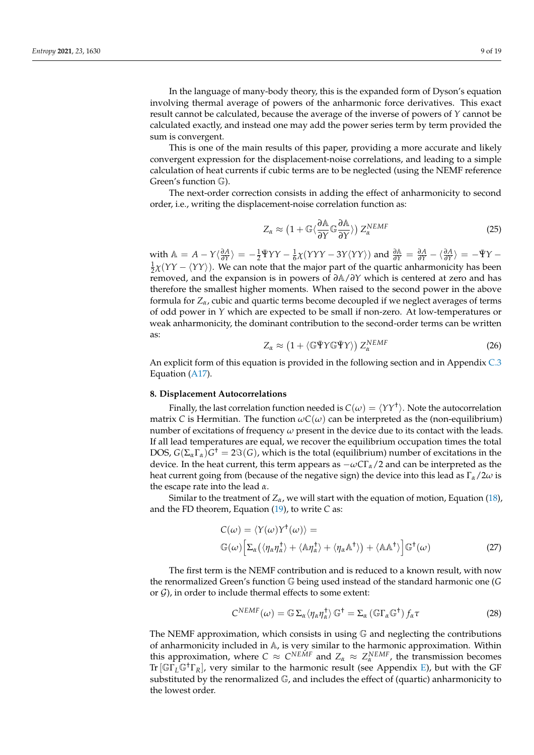In the language of many-body theory, this is the expanded form of Dyson's equation involving thermal average of powers of the anharmonic force derivatives. This exact result cannot be calculated, because the average of the inverse of powers of *Y* cannot be calculated exactly, and instead one may add the power series term by term provided the sum is convergent.

This is one of the main results of this paper, providing a more accurate and likely convergent expression for the displacement-noise correlations, and leading to a simple calculation of heat currents if cubic terms are to be neglected (using the NEMF reference Green's function G).

The next-order correction consists in adding the effect of anharmonicity to second order, i.e., writing the displacement-noise correlation function as:

<span id="page-8-2"></span>
$$
Z_{\alpha} \approx \left(1 + \mathbb{G}\langle\frac{\partial \mathbb{A}}{\partial Y}\mathbb{G}\frac{\partial \mathbb{A}}{\partial Y}\rangle\right) Z_{\alpha}^{NEMF} \tag{25}
$$

with  $\mathbb{A} = A - Y \langle \frac{\partial A}{\partial Y} \rangle = -\frac{1}{2} \bar{\Psi} Y Y - \frac{1}{6} \chi (YYY - 3Y \langle YY \rangle)$  and  $\frac{\partial \mathbb{A}}{\partial Y} = \frac{\partial A}{\partial Y} - \langle \frac{\partial A}{\partial Y} \rangle = -\bar{\Psi} Y \frac{1}{2}\chi(YY - \langle YY \rangle)$ . We can note that the major part of the quartic anharmonicity has been removed, and the expansion is in powers of *∂*A/*∂Y* which is centered at zero and has therefore the smallest higher moments. When raised to the second power in the above formula for  $Z_\alpha$ , cubic and quartic terms become decoupled if we neglect averages of terms of odd power in *Y* which are expected to be small if non-zero. At low-temperatures or weak anharmonicity, the dominant contribution to the second-order terms can be written as:

<span id="page-8-0"></span>
$$
Z_{\alpha} \approx \left(1 + \langle \mathbb{G}\bar{\Psi}Y \mathbb{G}\bar{\Psi}Y \rangle\right) Z_{\alpha}^{NEMF} \tag{26}
$$

An explicit form of this equation is provided in the following section and in Appendix [C.3](#page-15-0) Equation [\(A17\)](#page-15-1).

#### **8. Displacement Autocorrelations**

Finally, the last correlation function needed is  $C(\omega) = \langle YY^\dagger \rangle$ . Note the autocorrelation matrix *C* is Hermitian. The function  $\omega C(\omega)$  can be interpreted as the (non-equilibrium) number of excitations of frequency  $\omega$  present in the device due to its contact with the leads. If all lead temperatures are equal, we recover the equilibrium occupation times the total DOS,  $G(\Sigma_{\alpha} \Gamma_{\alpha}) G^{\dagger} = 2\Im(G)$ , which is the total (equilibrium) number of excitations in the device. In the heat current, this term appears as −*ωC*Γ*α*/2 and can be interpreted as the heat current going from (because of the negative sign) the device into this lead as Γ*α*/2*ω* is the escape rate into the lead *α*.

Similar to the treatment of  $Z_\alpha$ , we will start with the equation of motion, Equation [\(18\)](#page-6-3), and the FD theorem, Equation [\(19\)](#page-7-0), to write *C* as:

$$
C(\omega) = \langle Y(\omega)Y^{\dagger}(\omega) \rangle =
$$
  
\n
$$
\mathbb{G}(\omega) \Big[ \Sigma_{\alpha} (\langle \eta_{\alpha} \eta_{\alpha}^{\dagger} \rangle + \langle \mathbb{A} \eta_{\alpha}^{\dagger} \rangle + \langle \eta_{\alpha} \mathbb{A}^{\dagger} \rangle) + \langle \mathbb{A} \mathbb{A}^{\dagger} \rangle \Big] \mathbb{G}^{\dagger}(\omega)
$$
\n(27)

The first term is the NEMF contribution and is reduced to a known result, with now the renormalized Green's function G being used instead of the standard harmonic one (*G* or  $G$ ), in order to include thermal effects to some extent:

<span id="page-8-1"></span>
$$
C^{NEMF}(\omega) = \mathbb{G} \Sigma_{\alpha} \langle \eta_{\alpha} \eta_{\alpha}^{\dagger} \rangle \mathbb{G}^{\dagger} = \Sigma_{\alpha} (\mathbb{G} \Gamma_{\alpha} \mathbb{G}^{\dagger}) f_{\alpha} \tau
$$
 (28)

The NEMF approximation, which consists in using  $G$  and neglecting the contributions of anharmonicity included in A, is very similar to the harmonic approximation. Within this approximation, where  $C \approx C^{NEMF}$  and  $Z_{\alpha} \approx Z_{\alpha}^{NEMF}$ , the transmission becomes Tr[GΓ*L*G†Γ*R*], very similar to the harmonic result (see Appendix [E\)](#page-17-0), but with the GF substituted by the renormalized G, and includes the effect of (quartic) anharmonicity to the lowest order.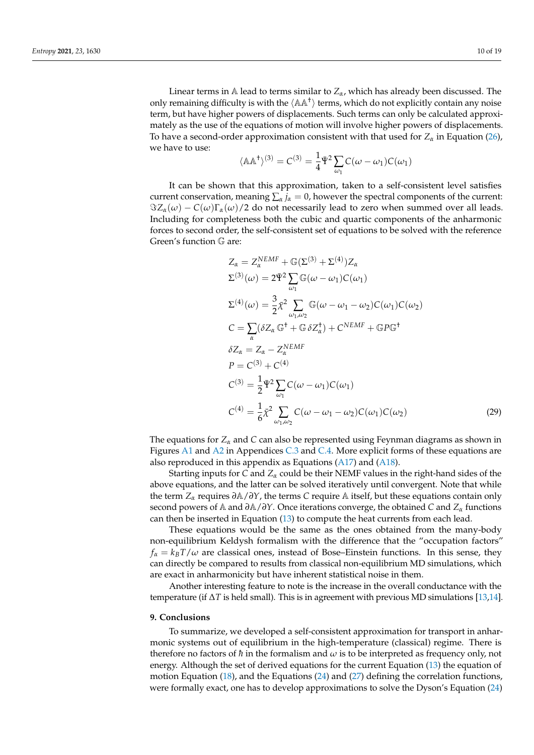Linear terms in  $\mathbb A$  lead to terms similar to  $Z_\alpha$ , which has already been discussed. The only remaining difficulty is with the  $\langle A A^{\dagger} \rangle$  terms, which do not explicitly contain any noise term, but have higher powers of displacements. Such terms can only be calculated approximately as the use of the equations of motion will involve higher powers of displacements. To have a second-order approximation consistent with that used for *Z<sup>α</sup>* in Equation [\(26\)](#page-8-0), we have to use:

$$
\langle \mathbb{A} \mathbb{A}^{\dagger} \rangle^{(3)} = C^{(3)} = \frac{1}{4} \bar{\Psi}^2 \sum_{\omega_1} C(\omega - \omega_1) C(\omega_1)
$$

It can be shown that this approximation, taken to a self-consistent level satisfies current conservation, meaning  $\sum_{\alpha} j_{\alpha} = 0$ , however the spectral components of the current:  $\Im Z_{\alpha}(\omega) - C(\omega)\Gamma_{\alpha}(\omega)/2$  do not necessarily lead to zero when summed over all leads. Including for completeness both the cubic and quartic components of the anharmonic forces to second order, the self-consistent set of equations to be solved with the reference Green's function G are:

<span id="page-9-0"></span>
$$
Z_{\alpha} = Z_{\alpha}^{NEMF} + \mathbb{G}(\Sigma^{(3)} + \Sigma^{(4)})Z_{\alpha}
$$
  
\n
$$
\Sigma^{(3)}(\omega) = 2\bar{\Psi}^{2} \sum_{\omega_{1}} \mathbb{G}(\omega - \omega_{1})C(\omega_{1})
$$
  
\n
$$
\Sigma^{(4)}(\omega) = \frac{3}{2}\bar{\chi}^{2} \sum_{\omega_{1},\omega_{2}} \mathbb{G}(\omega - \omega_{1} - \omega_{2})C(\omega_{1})C(\omega_{2})
$$
  
\n
$$
C = \sum_{\alpha} (\delta Z_{\alpha} \mathbb{G}^{\dagger} + \mathbb{G} \delta Z_{\alpha}^{\dagger}) + C^{NEMF} + \mathbb{G}P\mathbb{G}^{\dagger}
$$
  
\n
$$
\delta Z_{\alpha} = Z_{\alpha} - Z_{\alpha}^{NEMF}
$$
  
\n
$$
P = C^{(3)} + C^{(4)}
$$
  
\n
$$
C^{(3)} = \frac{1}{2}\bar{\Psi}^{2} \sum_{\omega_{1}} C(\omega - \omega_{1})C(\omega_{1})
$$
  
\n
$$
C^{(4)} = \frac{1}{6}\bar{\chi}^{2} \sum_{\omega_{1},\omega_{2}} C(\omega - \omega_{1} - \omega_{2})C(\omega_{1})C(\omega_{2})
$$
  
\n(29)

The equations for *Z<sup>α</sup>* and *C* can also be represented using Feynman diagrams as shown in Figures [A1](#page-15-2) and [A2](#page-16-1) in Appendices [C.3](#page-15-0) and [C.4.](#page-16-2) More explicit forms of these equations are also reproduced in this appendix as Equations [\(A17\)](#page-15-1) and [\(A18\)](#page-16-3).

Starting inputs for *C* and *Z<sup>α</sup>* could be their NEMF values in the right-hand sides of the above equations, and the latter can be solved iteratively until convergent. Note that while the term *<sup>Z</sup><sup>α</sup>* requires *<sup>∂</sup>*A/*∂Y*, the terms *<sup>C</sup>* require A itself, but these equations contain only second powers of A and *<sup>∂</sup>*A/*∂Y*. Once iterations converge, the obtained *<sup>C</sup>* and *<sup>Z</sup><sup>α</sup>* functions can then be inserted in Equation [\(13\)](#page-4-1) to compute the heat currents from each lead.

These equations would be the same as the ones obtained from the many-body non-equilibrium Keldysh formalism with the difference that the "occupation factors"  $f_{\alpha} = k_B T/\omega$  are classical ones, instead of Bose–Einstein functions. In this sense, they can directly be compared to results from classical non-equilibrium MD simulations, which are exact in anharmonicity but have inherent statistical noise in them.

Another interesting feature to note is the increase in the overall conductance with the temperature (if ∆*T* is held small). This is in agreement with previous MD simulations [\[13,](#page-18-12)[14\]](#page-18-13).

#### **9. Conclusions**

To summarize, we developed a self-consistent approximation for transport in anharmonic systems out of equilibrium in the high-temperature (classical) regime. There is therefore no factors of  $\hbar$  in the formalism and  $\omega$  is to be interpreted as frequency only, not energy. Although the set of derived equations for the current Equation [\(13\)](#page-4-1) the equation of motion Equation [\(18\)](#page-6-3), and the Equations [\(24\)](#page-7-1) and [\(27\)](#page-8-1) defining the correlation functions, were formally exact, one has to develop approximations to solve the Dyson's Equation [\(24\)](#page-7-1)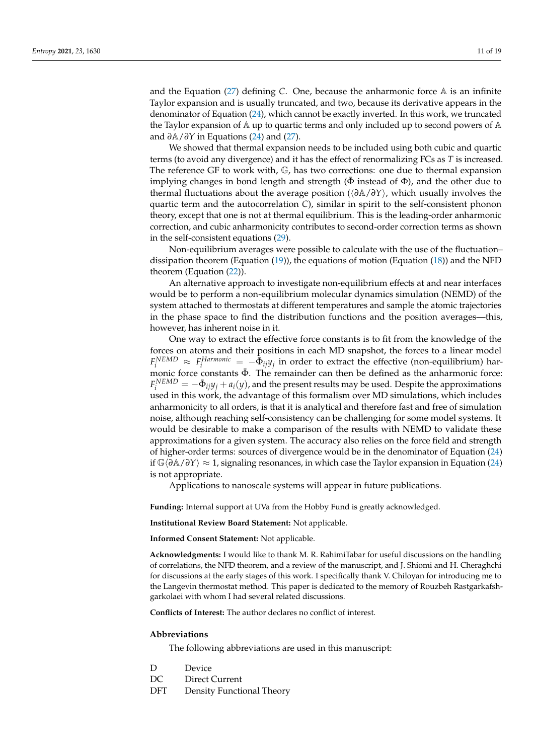and the Equation [\(27\)](#page-8-1) defining *C*. One, because the anharmonic force A is an infinite Taylor expansion and is usually truncated, and two, because its derivative appears in the denominator of Equation [\(24\)](#page-7-1), which cannot be exactly inverted. In this work, we truncated the Taylor expansion of  $\mathbb A$  up to quartic terms and only included up to second powers of  $\mathbb A$ and *∂*A/*∂Y* in Equations [\(24\)](#page-7-1) and [\(27\)](#page-8-1).

We showed that thermal expansion needs to be included using both cubic and quartic terms (to avoid any divergence) and it has the effect of renormalizing FCs as *T* is increased. The reference GF to work with, G, has two corrections: one due to thermal expansion implying changes in bond length and strength ( $\Phi$  instead of  $\Phi$ ), and the other due to thermal fluctuations about the average position (h*∂*A/*∂Y*i, which usually involves the quartic term and the autocorrelation *C*), similar in spirit to the self-consistent phonon theory, except that one is not at thermal equilibrium. This is the leading-order anharmonic correction, and cubic anharmonicity contributes to second-order correction terms as shown in the self-consistent equations [\(29\)](#page-9-0).

Non-equilibrium averages were possible to calculate with the use of the fluctuation– dissipation theorem (Equation [\(19\)](#page-7-0)), the equations of motion (Equation [\(18\)](#page-6-3)) and the NFD theorem (Equation [\(22\)](#page-7-2)).

An alternative approach to investigate non-equilibrium effects at and near interfaces would be to perform a non-equilibrium molecular dynamics simulation (NEMD) of the system attached to thermostats at different temperatures and sample the atomic trajectories in the phase space to find the distribution functions and the position averages—this, however, has inherent noise in it.

One way to extract the effective force constants is to fit from the knowledge of the forces on atoms and their positions in each MD snapshot, the forces to a linear model  $F_i^{NEMD} \approx F_i^{Harmonic} = -\bar{\Phi}_{ij}y_j$  in order to extract the effective (non-equilibrium) harmonic force constants  $\bar{\Phi}$ . The remainder can then be defined as the anharmonic force:  $F_i^{NEMD} = -\bar{\Phi}_{ij}y_j + a_i(y)$ , and the present results may be used. Despite the approximations used in this work, the advantage of this formalism over MD simulations, which includes anharmonicity to all orders, is that it is analytical and therefore fast and free of simulation noise, although reaching self-consistency can be challenging for some model systems. It would be desirable to make a comparison of the results with NEMD to validate these approximations for a given system. The accuracy also relies on the force field and strength of higher-order terms: sources of divergence would be in the denominator of Equation [\(24\)](#page-7-1) if Gh*∂*A/*∂Y*i ≈ 1, signaling resonances, in which case the Taylor expansion in Equation [\(24\)](#page-7-1) is not appropriate.

Applications to nanoscale systems will appear in future publications.

**Funding:** Internal support at UVa from the Hobby Fund is greatly acknowledged.

**Institutional Review Board Statement:** Not applicable.

**Informed Consent Statement:** Not applicable.

**Acknowledgments:** I would like to thank M. R. RahimiTabar for useful discussions on the handling of correlations, the NFD theorem, and a review of the manuscript, and J. Shiomi and H. Cheraghchi for discussions at the early stages of this work. I specifically thank V. Chiloyan for introducing me to the Langevin thermostat method. This paper is dedicated to the memory of Rouzbeh Rastgarkafshgarkolaei with whom I had several related discussions.

**Conflicts of Interest:** The author declares no conflict of interest.

#### **Abbreviations**

The following abbreviations are used in this manuscript:

- D Device
- DC Direct Current
- DFT Density Functional Theory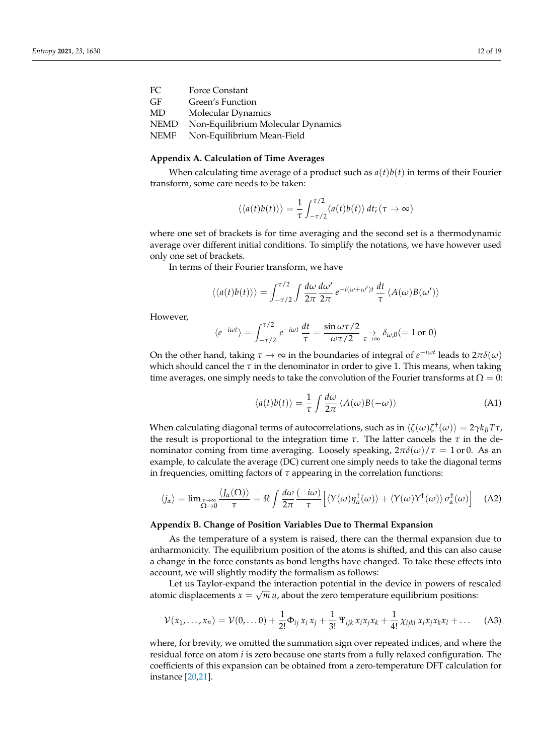| FC          | <b>Force Constant</b>              |
|-------------|------------------------------------|
| GF.         | Green's Function                   |
| MD          | Molecular Dynamics                 |
| <b>NEMD</b> | Non-Equilibrium Molecular Dynamics |
| NEMF        | Non-Equilibrium Mean-Field         |
|             |                                    |

## <span id="page-11-3"></span>**Appendix A. Calculation of Time Averages**

When calculating time average of a product such as  $a(t)b(t)$  in terms of their Fourier transform, some care needs to be taken:

$$
\langle \langle a(t)b(t) \rangle \rangle = \frac{1}{\tau} \int_{-\tau/2}^{\tau/2} \langle a(t)b(t) \rangle dt; (\tau \to \infty)
$$

where one set of brackets is for time averaging and the second set is a thermodynamic average over different initial conditions. To simplify the notations, we have however used only one set of brackets.

In terms of their Fourier transform, we have

$$
\langle\langle a(t)b(t)\rangle\rangle = \int_{-\tau/2}^{\tau/2} \int \frac{d\omega}{2\pi} \frac{d\omega'}{2\pi} e^{-i(\omega+\omega')t} \frac{dt}{\tau} \langle A(\omega)B(\omega')\rangle
$$

However,

$$
\langle e^{-i\omega t} \rangle = \int_{-\tau/2}^{\tau/2} e^{-i\omega t} \frac{dt}{\tau} = \frac{\sin \omega \tau/2}{\omega \tau/2} \underset{\tau \to \infty}{\to} \delta_{\omega,0} (= 1 \text{ or } 0)
$$

On the other hand, taking  $\tau \to \infty$  in the boundaries of integral of  $e^{-i\omega t}$  leads to  $2\pi\delta(\omega)$ which should cancel the *τ* in the denominator in order to give 1. This means, when taking time averages, one simply needs to take the convolution of the Fourier transforms at  $\Omega = 0$ :

$$
\langle a(t)b(t)\rangle = \frac{1}{\tau} \int \frac{d\omega}{2\pi} \langle A(\omega)B(-\omega)\rangle
$$
 (A1)

When calculating diagonal terms of autocorrelations, such as in  $\langle \zeta(\omega) \zeta^{\dagger}(\omega) \rangle = 2 \gamma k_B T \tau$ , the result is proportional to the integration time *τ*. The latter cancels the *τ* in the denominator coming from time averaging. Loosely speaking,  $2\pi\delta(\omega)/\tau = 1$  or 0. As an example, to calculate the average (DC) current one simply needs to take the diagonal terms in frequencies, omitting factors of *τ* appearing in the correlation functions:

<span id="page-11-2"></span>
$$
\langle j_{\alpha} \rangle = \lim_{\substack{\tau \to \infty \\ \Omega \to 0}} \frac{\langle J_{\alpha}(\Omega) \rangle}{\tau} = \Re \int \frac{d\omega}{2\pi} \frac{(-i\omega)}{\tau} \Big[ \langle Y(\omega) \eta_{\alpha}^{\dagger}(\omega) \rangle + \langle Y(\omega) Y^{\dagger}(\omega) \rangle \sigma_{\alpha}^{\dagger}(\omega) \Big] \tag{A2}
$$

## <span id="page-11-0"></span>**Appendix B. Change of Position Variables Due to Thermal Expansion**

As the temperature of a system is raised, there can the thermal expansion due to anharmonicity. The equilibrium position of the atoms is shifted, and this can also cause a change in the force constants as bond lengths have changed. To take these effects into account, we will slightly modify the formalism as follows:

Let us Taylor-expand the interaction potential in the device in powers of rescaled atomic displacements  $x = \sqrt{m} u$ , about the zero temperature equilibrium positions:

<span id="page-11-1"></span>
$$
\mathcal{V}(x_1,\ldots,x_n)=\mathcal{V}(0,\ldots 0)+\frac{1}{2!}\Phi_{ij}\,x_i\,x_j+\frac{1}{3!}\,\Psi_{ijk}\,x_ix_jx_k+\frac{1}{4!}\,\chi_{ijkl}\,x_ix_jx_kx_l+\ldots
$$
 (A3)

where, for brevity, we omitted the summation sign over repeated indices, and where the residual force on atom *i* is zero because one starts from a fully relaxed configuration. The coefficients of this expansion can be obtained from a zero-temperature DFT calculation for instance [\[20,](#page-18-19)[21\]](#page-18-20).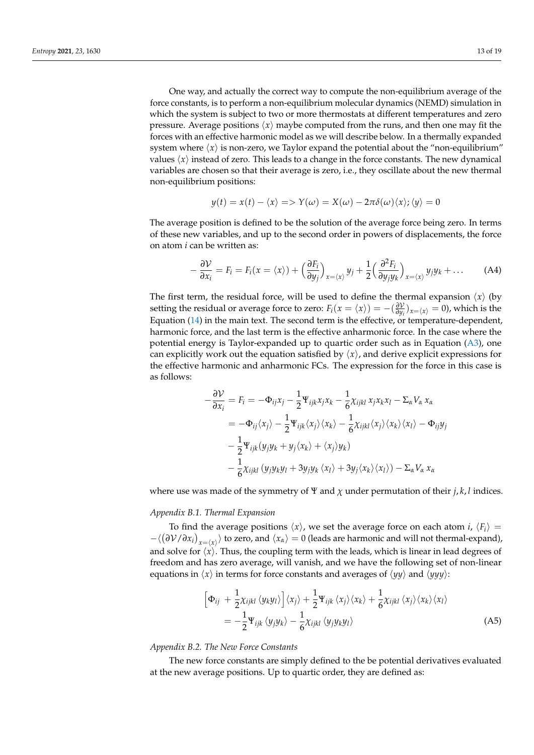One way, and actually the correct way to compute the non-equilibrium average of the force constants, is to perform a non-equilibrium molecular dynamics (NEMD) simulation in which the system is subject to two or more thermostats at different temperatures and zero pressure. Average positions  $\langle x \rangle$  maybe computed from the runs, and then one may fit the forces with an effective harmonic model as we will describe below. In a thermally expanded system where  $\langle x \rangle$  is non-zero, we Taylor expand the potential about the "non-equilibrium" values  $\langle x \rangle$  instead of zero. This leads to a change in the force constants. The new dynamical variables are chosen so that their average is zero, i.e., they oscillate about the new thermal non-equilibrium positions:

$$
y(t) = x(t) - \langle x \rangle \Longrightarrow Y(\omega) = X(\omega) - 2\pi\delta(\omega)\langle x \rangle; \langle y \rangle = 0
$$

The average position is defined to be the solution of the average force being zero. In terms of these new variables, and up to the second order in powers of displacements, the force on atom *i* can be written as:

$$
-\frac{\partial \mathcal{V}}{\partial x_i} = F_i = F_i(x = \langle x \rangle) + \left(\frac{\partial F_i}{\partial y_j}\right)_{x = \langle x \rangle} y_j + \frac{1}{2} \left(\frac{\partial^2 F_i}{\partial y_j y_k}\right)_{x = \langle x \rangle} y_j y_k + \dots
$$
 (A4)

The first term, the residual force, will be used to define the thermal expansion  $\langle x \rangle$  (by setting the residual or average force to zero:  $F_i(x = \langle x \rangle) = -(\frac{\partial V}{\partial y_i})$  $\frac{\partial V}{\partial y_i}$ ) $_{x=\langle x \rangle} = 0$ ), which is the Equation [\(14\)](#page-5-0) in the main text. The second term is the effective, or temperature-dependent, harmonic force, and the last term is the effective anharmonic force. In the case where the potential energy is Taylor-expanded up to quartic order such as in Equation [\(A3\)](#page-11-1), one can explicitly work out the equation satisfied by  $\langle x \rangle$ , and derive explicit expressions for the effective harmonic and anharmonic FCs. The expression for the force in this case is as follows:

$$
-\frac{\partial \mathcal{V}}{\partial x_i} = F_i = -\Phi_{ij}x_j - \frac{1}{2}\Psi_{ijk}x_jx_k - \frac{1}{6}\chi_{ijkl}x_jx_kx_l - \Sigma_\alpha V_\alpha x_\alpha
$$
  

$$
= -\Phi_{ij}\langle x_j \rangle - \frac{1}{2}\Psi_{ijk}\langle x_j \rangle \langle x_k \rangle - \frac{1}{6}\chi_{ijkl}\langle x_j \rangle \langle x_k \rangle \langle x_l \rangle - \Phi_{ij}y_j
$$
  

$$
-\frac{1}{2}\Psi_{ijk}(y_jy_k + y_j\langle x_k \rangle + \langle x_j \rangle y_k)
$$
  

$$
-\frac{1}{6}\chi_{ijkl}(y_jy_ky_l + 3y_jy_k\langle x_l \rangle + 3y_j\langle x_k \rangle \langle x_l \rangle) - \Sigma_\alpha V_\alpha x_\alpha
$$

where use was made of the symmetry of  $\Psi$  and  $\chi$  under permutation of their *j*, *k*, *l* indices.

#### *Appendix B.1. Thermal Expansion*

To find the average positions  $\langle x \rangle$ , we set the average force on each atom *i*,  $\langle F_i \rangle =$  $-\langle(\partial V/\partial x_i)_{x=(x)}\rangle$  to zero, and  $\langle x_\alpha\rangle=0$  (leads are harmonic and will not thermal-expand), and solve for  $\langle x \rangle$ . Thus, the coupling term with the leads, which is linear in lead degrees of freedom and has zero average, will vanish, and we have the following set of non-linear equations in  $\langle x \rangle$  in terms for force constants and averages of  $\langle \gamma \gamma \rangle$  and  $\langle \gamma \gamma \gamma \rangle$ :

$$
\begin{split} \left[\Phi_{ij} + \frac{1}{2}\chi_{ijkl}\langle y_k y_l \rangle\right] \langle x_j \rangle + \frac{1}{2}\Psi_{ijk}\langle x_j \rangle \langle x_k \rangle + \frac{1}{6}\chi_{ijkl}\langle x_j \rangle \langle x_k \rangle \langle x_l \rangle \\ &= -\frac{1}{2}\Psi_{ijk}\langle y_j y_k \rangle - \frac{1}{6}\chi_{ijkl}\langle y_j y_k y_l \rangle \end{split} \tag{A5}
$$

#### *Appendix B.2. The New Force Constants*

The new force constants are simply defined to the be potential derivatives evaluated at the new average positions. Up to quartic order, they are defined as: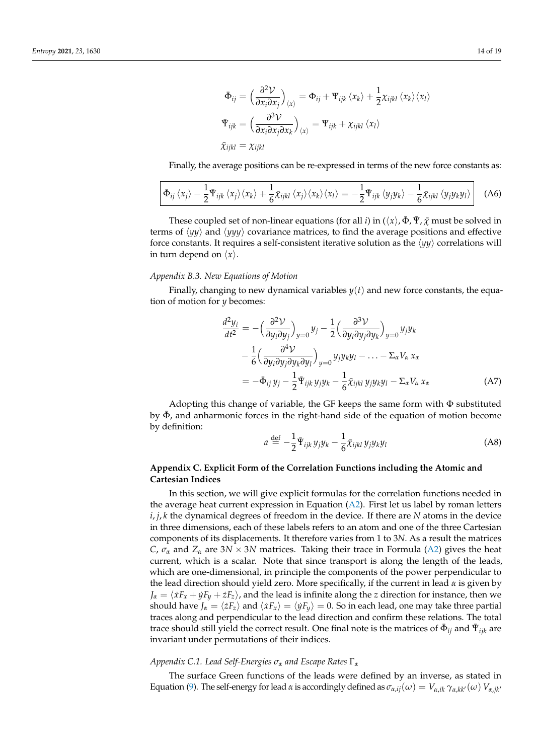$$
\begin{aligned}\n\bar{\Phi}_{ij} &= \left(\frac{\partial^2 \mathcal{V}}{\partial x_i \partial x_j}\right)_{\langle x \rangle} = \Phi_{ij} + \Psi_{ijk} \langle x_k \rangle + \frac{1}{2} \chi_{ijkl} \langle x_k \rangle \langle x_l \rangle \\
\bar{\Psi}_{ijk} &= \left(\frac{\partial^3 \mathcal{V}}{\partial x_i \partial x_j \partial x_k}\right)_{\langle x \rangle} = \Psi_{ijk} + \chi_{ijkl} \langle x_l \rangle \\
\bar{\chi}_{ijkl} &= \chi_{ijkl}\n\end{aligned}
$$

Finally, the average positions can be re-expressed in terms of the new force constants as:

$$
\left[\bar{\Phi}_{ij}\left\langle x_j\right\rangle - \frac{1}{2}\bar{\Psi}_{ijk}\left\langle x_j\right\rangle\langle x_k\rangle + \frac{1}{6}\bar{\chi}_{ijkl}\left\langle x_j\right\rangle\langle x_k\rangle\langle x_l\rangle = -\frac{1}{2}\bar{\Psi}_{ijk}\left\langle y_jy_k\right\rangle - \frac{1}{6}\bar{\chi}_{ijkl}\left\langle y_jy_ky_l\right\rangle\right] \tag{A6}
$$

These coupled set of non-linear equations (for all *i*) in  $(\langle x \rangle, \bar{\Phi}, \bar{\Psi}, \bar{\chi} \mod p)$  must be solved in terms of  $\langle \psi \psi \rangle$  and  $\langle \psi \psi \rangle$  covariance matrices, to find the average positions and effective force constants. It requires a self-consistent iterative solution as the  $\langle \psi \psi \rangle$  correlations will in turn depend on  $\langle x \rangle$ .

#### *Appendix B.3. New Equations of Motion*

Finally, changing to new dynamical variables  $y(t)$  and new force constants, the equation of motion for *y* becomes:

$$
\frac{d^2y_i}{dt^2} = -\left(\frac{\partial^2 \mathcal{V}}{\partial y_i \partial y_j}\right)_{y=0} y_j - \frac{1}{2} \left(\frac{\partial^3 \mathcal{V}}{\partial y_i \partial y_j \partial y_k}\right)_{y=0} y_j y_k \n- \frac{1}{6} \left(\frac{\partial^4 \mathcal{V}}{\partial y_i \partial y_j \partial y_k \partial y_l}\right)_{y=0} y_j y_k y_l - \dots - \Sigma_\alpha V_\alpha x_\alpha \n= -\bar{\Phi}_{ij} y_j - \frac{1}{2} \bar{\Psi}_{ijk} y_j y_k - \frac{1}{6} \bar{\chi}_{ijkl} y_j y_k y_l - \Sigma_\alpha V_\alpha x_\alpha
$$
\n(A7)

Adopting this change of variable, the GF keeps the same form with  $\Phi$  substituted by  $\bar{\Phi}$ , and anharmonic forces in the right-hand side of the equation of motion become by definition:

$$
a \stackrel{\text{def}}{=} -\frac{1}{2} \bar{\Psi}_{ijk} y_j y_k - \frac{1}{6} \bar{\chi}_{ijkl} y_j y_k y_l \tag{A8}
$$

## **Appendix C. Explicit Form of the Correlation Functions including the Atomic and Cartesian Indices**

In this section, we will give explicit formulas for the correlation functions needed in the average heat current expression in Equation [\(A2\)](#page-11-2). First let us label by roman letters  $i, j, k$  the dynamical degrees of freedom in the device. If there are N atoms in the device in three dimensions, each of these labels refers to an atom and one of the three Cartesian components of its displacements. It therefore varies from 1 to 3*N*. As a result the matrices *C*,  $\sigma_{\alpha}$  and  $Z_{\alpha}$  are 3*N* × 3*N* matrices. Taking their trace in Formula [\(A2\)](#page-11-2) gives the heat current, which is a scalar. Note that since transport is along the length of the leads, which are one-dimensional, in principle the components of the power perpendicular to the lead direction should yield zero. More specifically, if the current in lead *α* is given by  $J_\alpha = \langle \dot{x}F_x + \dot{y}F_y + \dot{z}F_z \rangle$ , and the lead is infinite along the *z* direction for instance, then we should have  $J_\alpha = \langle zF_z \rangle$  and  $\langle xF_x \rangle = \langle yF_y \rangle = 0$ . So in each lead, one may take three partial traces along and perpendicular to the lead direction and confirm these relations. The total trace should still yield the correct result. One final note is the matrices of  $\bar{\Phi}_{ij}$  and  $\bar{\Psi}_{ijk}$  are invariant under permutations of their indices.

## *Appendix C.1. Lead Self-Energies σ<sup>α</sup> and Escape Rates* Γ*<sup>α</sup>*

The surface Green functions of the leads were defined by an inverse, as stated in Equation [\(9\)](#page-3-6). The self-energy for lead *α* is accordingly defined as  $\sigma_{\alpha,ij}(\omega) = V_{\alpha,ik}\gamma_{\alpha,kk'}(\omega) V_{\alpha,ik'}$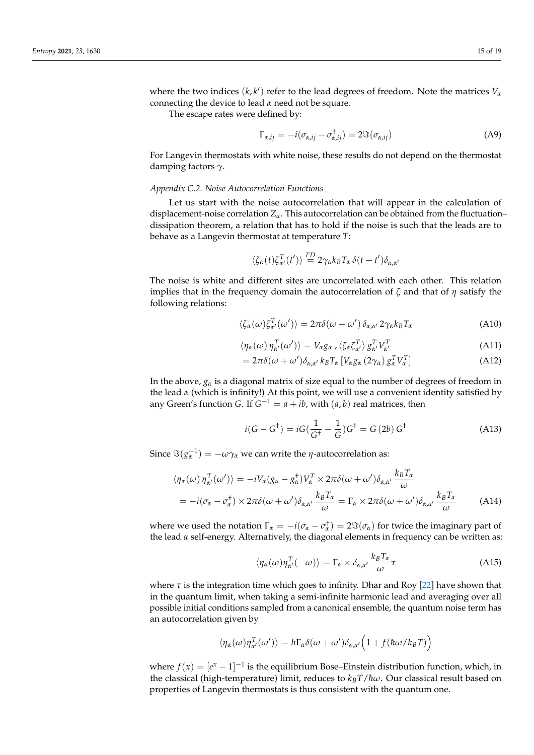where the two indices  $(k, k')$  refer to the lead degrees of freedom. Note the matrices  $V_a$ connecting the device to lead *α* need not be square.

The escape rates were defined by:

$$
\Gamma_{\alpha,ij} = -i(\sigma_{\alpha,ij} - \sigma_{\alpha,ij}^+) = 2\Im(\sigma_{\alpha,ij})
$$
\n(A9)

For Langevin thermostats with white noise, these results do not depend on the thermostat damping factors *γ*.

### <span id="page-14-0"></span>*Appendix C.2. Noise Autocorrelation Functions*

Let us start with the noise autocorrelation that will appear in the calculation of displacement-noise correlation *Zα*. This autocorrelation can be obtained from the fluctuation– dissipation theorem, a relation that has to hold if the noise is such that the leads are to behave as a Langevin thermostat at temperature *T*:

$$
\langle \zeta_{\alpha}(t) \zeta_{\alpha'}^{T}(t') \rangle \stackrel{\text{FD}}{=} 2 \gamma_{\alpha} k_{B} T_{\alpha} \delta(t-t') \delta_{\alpha,\alpha'}
$$

The noise is white and different sites are uncorrelated with each other. This relation implies that in the frequency domain the autocorrelation of *ζ* and that of *η* satisfy the following relations:

$$
\langle \zeta_{\alpha}(\omega) \zeta_{\alpha'}^{T}(\omega') \rangle = 2\pi \delta(\omega + \omega') \, \delta_{\alpha,\alpha'} \, 2\gamma_{\alpha} k_{B} T_{\alpha}
$$
 (A10)

$$
\langle \eta_{\alpha}(\omega) \eta_{\alpha'}^{T}(\omega') \rangle = V_{\alpha} g_{\alpha} , \langle \zeta_{\alpha} \zeta_{\alpha'}^{T} \rangle g_{\alpha'}^{T} V_{\alpha'}^{T}
$$
(A11)

$$
=2\pi\delta(\omega+\omega')\delta_{\alpha,\alpha'}k_BT_{\alpha}\left[V_{\alpha}g_{\alpha}\left(2\gamma_{\alpha}\right)g_{\alpha}^TV_{\alpha}^T\right]
$$
\n(A12)

In the above,  $g_\alpha$  is a diagonal matrix of size equal to the number of degrees of freedom in the lead *α* (which is infinity!) At this point, we will use a convenient identity satisfied by any Green's function *G*. If  $G^{-1} = a + ib$ , with  $(a, b)$  real matrices, then

<span id="page-14-1"></span>
$$
i(G - G^{\dagger}) = iG(\frac{1}{G^{\dagger}} - \frac{1}{G})G^{\dagger} = G(2b) G^{\dagger}
$$
 (A13)

Since  $\Im(g_{\alpha}^{-1}) = -\omega \gamma_{\alpha}$  we can write the *η*-autocorrelation as:

$$
\langle \eta_{\alpha}(\omega) \eta_{\alpha'}^T(\omega') \rangle = -iV_{\alpha}(g_{\alpha} - g_{\alpha}^{\dagger})V_{\alpha}^T \times 2\pi \delta(\omega + \omega')\delta_{\alpha,\alpha'} \frac{k_B T_{\alpha}}{\omega}
$$
  
=  $-i(\sigma_{\alpha} - \sigma_{\alpha}^{\dagger}) \times 2\pi \delta(\omega + \omega')\delta_{\alpha,\alpha'} \frac{k_B T_{\alpha}}{\omega} = \Gamma_{\alpha} \times 2\pi \delta(\omega + \omega')\delta_{\alpha,\alpha'} \frac{k_B T_{\alpha}}{\omega}$  (A14)

where we used the notation  $\Gamma_{\alpha} = -i(\sigma_{\alpha} - \sigma_{\alpha}^{\dagger}) = 2\Im(\sigma_{\alpha})$  for twice the imaginary part of the lead *α* self-energy. Alternatively, the diagonal elements in frequency can be written as:

$$
\langle \eta_{\alpha}(\omega)\eta_{\alpha'}^{T}(-\omega)\rangle = \Gamma_{\alpha} \times \delta_{\alpha,\alpha'} \frac{k_{B}T_{\alpha}}{\omega} \tau
$$
 (A15)

where  $\tau$  is the integration time which goes to infinity. Dhar and Roy [\[22\]](#page-18-21) have shown that in the quantum limit, when taking a semi-infinite harmonic lead and averaging over all possible initial conditions sampled from a canonical ensemble, the quantum noise term has an autocorrelation given by

$$
\langle \eta_{\alpha}(\omega)\eta_{\alpha'}^{T}(\omega')\rangle = h\Gamma_{\alpha}\delta(\omega+\omega')\delta_{\alpha,\alpha'}\Big(1+f(\hbar\omega/k_{B}T)\Big)
$$

where  $f(x) = [e^x - 1]^{-1}$  is the equilibrium Bose–Einstein distribution function, which, in the classical (high-temperature) limit, reduces to  $k_B T / \hbar \omega$ . Our classical result based on properties of Langevin thermostats is thus consistent with the quantum one.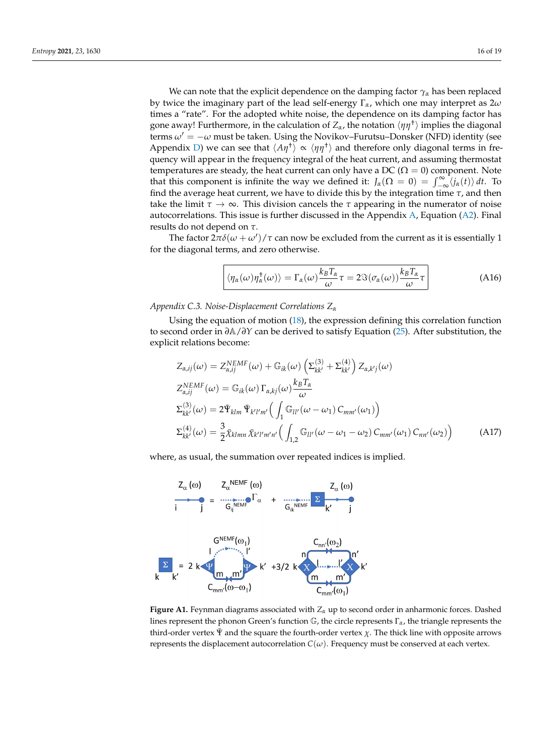We can note that the explicit dependence on the damping factor *γ<sup>α</sup>* has been replaced by twice the imaginary part of the lead self-energy Γ*α*, which one may interpret as 2*ω* times a "rate". For the adopted white noise, the dependence on its damping factor has gone away! Furthermore, in the calculation of  $Z_\alpha$ , the notation  $\langle \eta \eta^{\dagger} \rangle$  implies the diagonal terms  $\omega' = -\omega$  must be taken. Using the Novikov–Furutsu–Donsker (NFD) identity (see Appendix [D\)](#page-16-0) we can see that  $\langle A\eta^{\dagger} \rangle \propto \langle \eta \eta^{\dagger} \rangle$  and therefore only diagonal terms in frequency will appear in the frequency integral of the heat current, and assuming thermostat temperatures are steady, the heat current can only have a DC ( $\Omega = 0$ ) component. Note that this component is infinite the way we defined it:  $J_\alpha(\Omega = 0) = \int_{-\infty}^{\infty} \langle j_\alpha(t) \rangle dt$ . To find the average heat current, we have to divide this by the integration time *τ*, and then take the limit  $\tau \to \infty$ . This division cancels the  $\tau$  appearing in the numerator of noise autocorrelations. This issue is further discussed in the Appendix  $A$ , Equation ( $A2$ ). Final results do not depend on *τ*.

The factor  $2\pi\delta(\omega+\omega')/\tau$  can now be excluded from the current as it is essentially 1 for the diagonal terms, and zero otherwise.

<span id="page-15-1"></span>
$$
\langle \eta_{\alpha}(\omega)\eta_{\alpha}^{\dagger}(\omega)\rangle = \Gamma_{\alpha}(\omega)\frac{k_{B}T_{\alpha}}{\omega}\tau = 2\Im(\sigma_{\alpha}(\omega))\frac{k_{B}T_{\alpha}}{\omega}\tau
$$
 (A16)

<span id="page-15-0"></span>*Appendix C.3. Noise-Displacement Correlations Z<sup>α</sup>*

Using the equation of motion  $(18)$ , the expression defining this correlation function to second order in *∂*A/*∂Y* can be derived to satisfy Equation [\(25\)](#page-8-2). After substitution, the explicit relations become:

$$
Z_{\alpha,ij}(\omega) = Z_{\alpha,ij}^{NEMF}(\omega) + \mathbb{G}_{ik}(\omega) \left( \Sigma_{kk'}^{(3)} + \Sigma_{kk'}^{(4)} \right) Z_{\alpha,k'j}(\omega)
$$
  
\n
$$
Z_{\alpha,ij}^{NEMF}(\omega) = \mathbb{G}_{ik}(\omega) \Gamma_{\alpha,kj}(\omega) \frac{k_B T_{\alpha}}{\omega}
$$
  
\n
$$
\Sigma_{kk'}^{(3)}(\omega) = 2 \bar{\Psi}_{klm} \bar{\Psi}_{k'l'm'} \Big( \int_{1} \mathbb{G}_{ll'}(\omega - \omega_{1}) C_{mm'}(\omega_{1}) \Big)
$$
  
\n
$$
\Sigma_{kk'}^{(4)}(\omega) = \frac{3}{2} \bar{\chi}_{klmn} \bar{\chi}_{k'l'm'n'} \Big( \int_{1,2} \mathbb{G}_{ll'}(\omega - \omega_{1} - \omega_{2}) C_{mm'}(\omega_{1}) C_{nn'}(\omega_{2}) \Big)
$$
 (A17)

where, as usual, the summation over repeated indices is implied.

<span id="page-15-2"></span>

**Figure A1.** Feynman diagrams associated with *Z<sup>α</sup>* up to second order in anharmonic forces. Dashed lines represent the phonon Green's function G, the circle represents <sup>Γ</sup>*α*, the triangle represents the third-order vertex  $\Psi$  and the square the fourth-order vertex  $\chi$ . The thick line with opposite arrows represents the displacement autocorrelation  $C(\omega)$ . Frequency must be conserved at each vertex.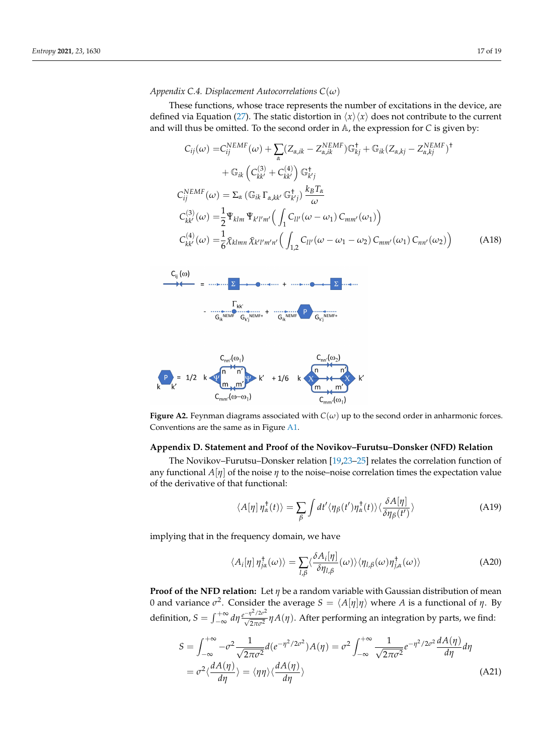## <span id="page-16-2"></span>*Appendix C.4. Displacement Autocorrelations C*(*ω*)

These functions, whose trace represents the number of excitations in the device, are defined via Equation [\(27\)](#page-8-1). The static distortion in  $\langle x \rangle \langle x \rangle$  does not contribute to the current and will thus be omitted. To the second order in A, the expression for *C* is given by:

<span id="page-16-3"></span>
$$
C_{ij}(\omega) = C_{ij}^{NEMF}(\omega) + \sum_{\alpha} (Z_{\alpha,ik} - Z_{\alpha,ik}^{NEMF}) \mathbb{G}_{kj}^{\dagger} + \mathbb{G}_{ik} (Z_{\alpha,kj} - Z_{\alpha,kj}^{NEMF})^{\dagger}
$$
  
+  $\mathbb{G}_{ik} \left( C_{kk'}^{(3)} + C_{kk'}^{(4)} \right) \mathbb{G}_{k'j}^{\dagger}$   

$$
C_{ij}^{NEMF}(\omega) = \sum_{\alpha} (\mathbb{G}_{ik} \Gamma_{\alpha,kk'} \mathbb{G}_{k'j}^{\dagger}) \frac{k_B T_{\alpha}}{\omega}
$$
  

$$
C_{kk'}^{(3)}(\omega) = \frac{1}{2} \bar{\Psi}_{klm} \bar{\Psi}_{k'l'm'} \Big( \int_{1} C_{ll'}(\omega - \omega_1) C_{mm'}(\omega_1) \Big)
$$
  

$$
C_{kk'}^{(4)}(\omega) = \frac{1}{6} \bar{\chi}_{klmn} \bar{\chi}_{k'l'm'n'} \Big( \int_{1,2} C_{ll'}(\omega - \omega_1 - \omega_2) C_{mm'}(\omega_1) C_{nn'}(\omega_2) \Big)
$$
 (A18)

<span id="page-16-1"></span>



**Figure A2.** Feynman diagrams associated with  $C(\omega)$  up to the second order in anharmonic forces. Conventions are the same as in Figure [A1.](#page-15-2)

## <span id="page-16-0"></span>**Appendix D. Statement and Proof of the Novikov–Furutsu–Donsker (NFD) Relation**

The Novikov–Furutsu–Donsker relation [\[19,](#page-18-18)[23](#page-18-22)[–25\]](#page-18-23) relates the correlation function of any functional  $A[\eta]$  of the noise  $\eta$  to the noise–noise correlation times the expectation value of the derivative of that functional:

$$
\langle A[\eta] \eta_{\alpha}^{\dagger}(t) \rangle = \sum_{\beta} \int dt' \langle \eta_{\beta}(t') \eta_{\alpha}^{\dagger}(t) \rangle \langle \frac{\delta A[\eta]}{\delta \eta_{\beta}(t')} \rangle \tag{A19}
$$

implying that in the frequency domain, we have

$$
\langle A_i[\eta] \eta_{j\alpha}^{\dagger}(\omega) \rangle = \sum_{l,\beta} \langle \frac{\delta A_i[\eta]}{\delta \eta_{l,\beta}}(\omega) \rangle \langle \eta_{l,\beta}(\omega) \eta_{j,\alpha}^{\dagger}(\omega) \rangle \tag{A20}
$$

**Proof of the NFD relation:** Let *η* be a random variable with Gaussian distribution of mean 0 and variance  $\sigma^2$ . Consider the average  $S = \langle A[\eta]\eta \rangle$  where *A* is a functional of *η*. By definition,  $S = \int_{-\infty}^{+\infty} d\eta \frac{e^{-\eta^2/2\sigma^2}}{\sqrt{2\pi\sigma^2}} \eta A(\eta)$ . After performing an integration by parts, we find:

$$
S = \int_{-\infty}^{+\infty} -\sigma^2 \frac{1}{\sqrt{2\pi\sigma^2}} d(e^{-\eta^2/2\sigma^2}) A(\eta) = \sigma^2 \int_{-\infty}^{+\infty} \frac{1}{\sqrt{2\pi\sigma^2}} e^{-\eta^2/2\sigma^2} \frac{dA(\eta)}{d\eta} d\eta
$$
  
=  $\sigma^2 \langle \frac{dA(\eta)}{d\eta} \rangle = \langle \eta \eta \rangle \langle \frac{dA(\eta)}{d\eta} \rangle$  (A21)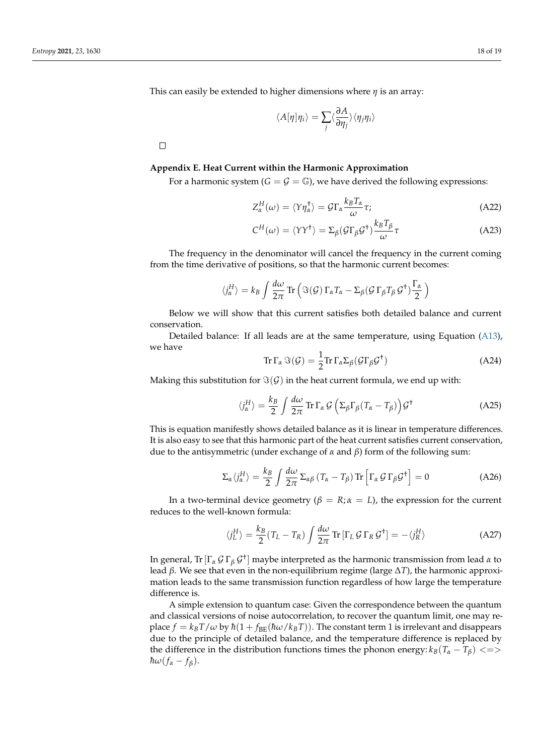This can easily be extended to higher dimensions where *η* is an array:

$$
\langle A[\eta]\eta_i\rangle = \sum_j \langle \frac{\partial A}{\partial \eta_j} \rangle \langle \eta_j \eta_i \rangle
$$

 $\Box$ 

# <span id="page-17-0"></span>**Appendix E. Heat Current within the Harmonic Approximation**

For a harmonic system  $(G = \mathcal{G} = \mathbb{G})$ , we have derived the following expressions:

$$
Z_{\alpha}^{H}(\omega) = \langle Y \eta_{\alpha}^{\dagger} \rangle = \mathcal{G} \Gamma_{\alpha} \frac{k_{B} T_{\alpha}}{\omega} \tau;
$$
 (A22)

$$
C^{H}(\omega) = \langle YY^{\dagger} \rangle = \Sigma_{\beta} (\mathcal{G}\Gamma_{\beta}\mathcal{G}^{\dagger}) \frac{k_{B}T_{\beta}}{\omega} \tau
$$
 (A23)

The frequency in the denominator will cancel the frequency in the current coming from the time derivative of positions, so that the harmonic current becomes:

$$
\langle j_{\alpha}^{H} \rangle = k_{B} \int \frac{d\omega}{2\pi} \operatorname{Tr} \left( \Im(\mathcal{G}) \, \Gamma_{\alpha} T_{\alpha} - \Sigma_{\beta} (\mathcal{G} \, \Gamma_{\beta} T_{\beta} \, \mathcal{G}^{\dagger}) \frac{\Gamma_{\alpha}}{2} \right)
$$

Below we will show that this current satisfies both detailed balance and current conservation.

Detailed balance: If all leads are at the same temperature, using Equation [\(A13\)](#page-14-1), we have

$$
\operatorname{Tr}\Gamma_{\alpha}\Im(\mathcal{G})=\frac{1}{2}\operatorname{Tr}\Gamma_{\alpha}\Sigma_{\beta}(\mathcal{G}\Gamma_{\beta}\mathcal{G}^{\dagger})
$$
\n(A24)

Making this substitution for  $\Im(\mathcal{G})$  in the heat current formula, we end up with:

$$
\langle j_{\alpha}^{H} \rangle = \frac{k_{B}}{2} \int \frac{d\omega}{2\pi} \operatorname{Tr} \Gamma_{\alpha} \mathcal{G} \left( \Sigma_{\beta} \Gamma_{\beta} (T_{\alpha} - T_{\beta}) \right) \mathcal{G}^{\dagger}
$$
 (A25)

This is equation manifestly shows detailed balance as it is linear in temperature differences. It is also easy to see that this harmonic part of the heat current satisfies current conservation, due to the antisymmetric (under exchange of *α* and *β*) form of the following sum:

$$
\Sigma_{\alpha} \langle j_{\alpha}^{H} \rangle = \frac{k_{B}}{2} \int \frac{d\omega}{2\pi} \Sigma_{\alpha\beta} \left( T_{\alpha} - T_{\beta} \right) \text{Tr} \left[ \Gamma_{\alpha} \mathcal{G} \Gamma_{\beta} \mathcal{G}^{\dagger} \right] = 0 \tag{A26}
$$

In a two-terminal device geometry ( $\beta = R$ ;  $\alpha = L$ ), the expression for the current reduces to the well-known formula:

$$
\langle j_L^H \rangle = \frac{k_B}{2} (T_L - T_R) \int \frac{d\omega}{2\pi} \text{Tr} \left[ \Gamma_L \mathcal{G} \Gamma_R \mathcal{G}^\dagger \right] = -\langle j_R^H \rangle \tag{A27}
$$

In general, Tr[Γ*<sup>α</sup>* G Γ*<sup>β</sup>* G † ] maybe interpreted as the harmonic transmission from lead *α* to lead *β*. We see that even in the non-equilibrium regime (large ∆*T*), the harmonic approximation leads to the same transmission function regardless of how large the temperature difference is.

A simple extension to quantum case: Given the correspondence between the quantum and classical versions of noise autocorrelation, to recover the quantum limit, one may replace  $f = k_B T / \omega$  by  $\hbar (1 + f_{BE}(\hbar \omega / k_B T))$ . The constant term 1 is irrelevant and disappears due to the principle of detailed balance, and the temperature difference is replaced by the difference in the distribution functions times the phonon energy:  $k_B(T_\alpha - T_\beta) \leq$  $\hbar \omega (f_{\alpha} - f_{\beta}).$